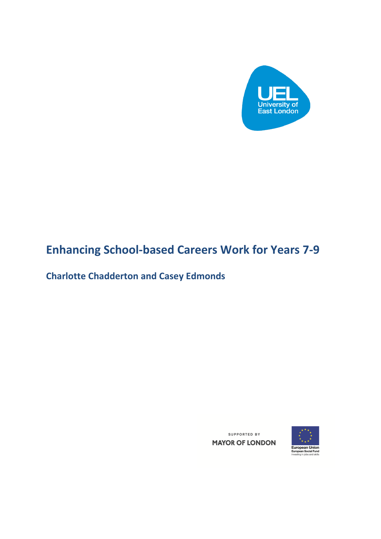

# **Enhancing School-based Careers Work for Years 7-9**

**Charlotte Chadderton and Casey Edmonds**

SUPPORTED BY **MAYOR OF LONDON** 

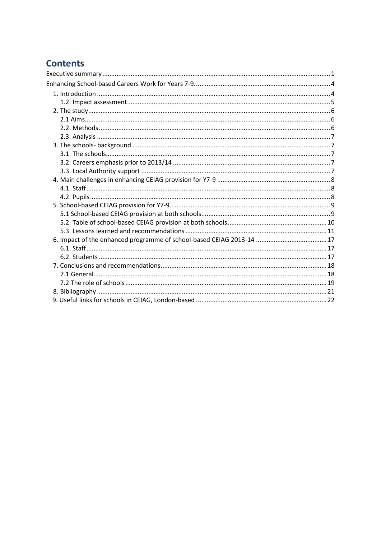## **Contents**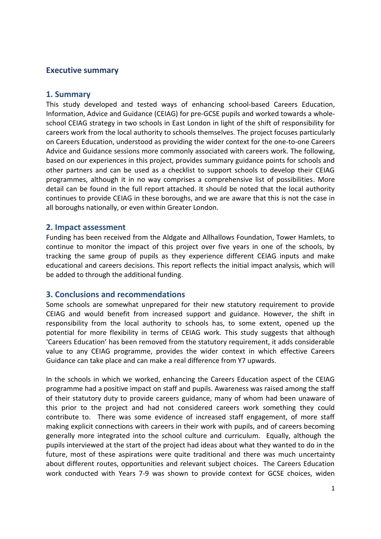#### <span id="page-2-0"></span>**Executive summary**

#### **1. Summary**

This study developed and tested ways of enhancing school-based Careers Education, Information, Advice and Guidance (CEIAG) for pre-GCSE pupils and worked towards a wholeschool CEIAG strategy in two schools in East London in light of the shift of responsibility for careers work from the local authority to schools themselves. The project focuses particularly on Careers Education, understood as providing the wider context for the one-to-one Careers Advice and Guidance sessions more commonly associated with careers work. The following, based on our experiences in this project, provides summary guidance points for schools and other partners and can be used as a checklist to support schools to develop their CEIAG programmes, although it in no way comprises a comprehensive list of possibilities. More detail can be found in the full report attached. It should be noted that the local authority continues to provide CEIAG in these boroughs, and we are aware that this is not the case in all boroughs nationally, or even within Greater London.

#### **2. Impact assessment**

Funding has been received from the Aldgate and Allhallows Foundation, Tower Hamlets, to continue to monitor the impact of this project over five years in one of the schools, by tracking the same group of pupils as they experience different CEIAG inputs and make educational and careers decisions. This report reflects the initial impact analysis, which will be added to through the additional funding.

#### **3. Conclusions and recommendations**

Some schools are somewhat unprepared for their new statutory requirement to provide CEIAG and would benefit from increased support and guidance. However, the shift in responsibility from the local authority to schools has, to some extent, opened up the potential for more flexibility in terms of CEIAG work. This study suggests that although 'Careers Education' has been removed from the statutory requirement, it adds considerable value to any CEIAG programme, provides the wider context in which effective Careers Guidance can take place and can make a real difference from Y7 upwards.

In the schools in which we worked, enhancing the Careers Education aspect of the CEIAG programme had a positive impact on staff and pupils. Awareness was raised among the staff of their statutory duty to provide careers guidance, many of whom had been unaware of this prior to the project and had not considered careers work something they could contribute to. There was some evidence of increased staff engagement, of more staff making explicit connections with careers in their work with pupils, and of careers becoming generally more integrated into the school culture and curriculum. Equally, although the pupils interviewed at the start of the project had ideas about what they wanted to do in the future, most of these aspirations were quite traditional and there was much uncertainty about different routes, opportunities and relevant subject choices. The Careers Education work conducted with Years 7-9 was shown to provide context for GCSE choices, widen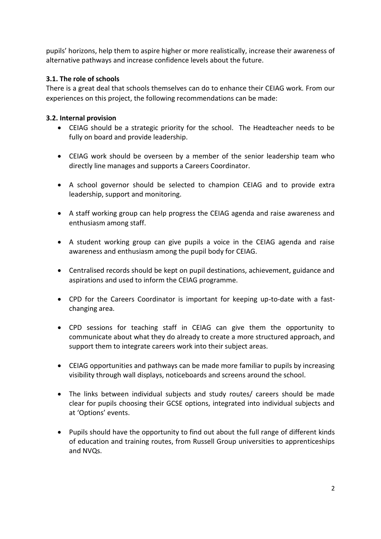pupils' horizons, help them to aspire higher or more realistically, increase their awareness of alternative pathways and increase confidence levels about the future.

## **3.1. The role of schools**

There is a great deal that schools themselves can do to enhance their CEIAG work. From our experiences on this project, the following recommendations can be made:

### **3.2. Internal provision**

- CEIAG should be a strategic priority for the school. The Headteacher needs to be fully on board and provide leadership.
- CEIAG work should be overseen by a member of the senior leadership team who directly line manages and supports a Careers Coordinator.
- A school governor should be selected to champion CEIAG and to provide extra leadership, support and monitoring.
- A staff working group can help progress the CEIAG agenda and raise awareness and enthusiasm among staff.
- A student working group can give pupils a voice in the CEIAG agenda and raise awareness and enthusiasm among the pupil body for CEIAG.
- Centralised records should be kept on pupil destinations, achievement, guidance and aspirations and used to inform the CEIAG programme.
- CPD for the Careers Coordinator is important for keeping up-to-date with a fastchanging area.
- CPD sessions for teaching staff in CEIAG can give them the opportunity to communicate about what they do already to create a more structured approach, and support them to integrate careers work into their subject areas.
- CEIAG opportunities and pathways can be made more familiar to pupils by increasing visibility through wall displays, noticeboards and screens around the school.
- The links between individual subjects and study routes/ careers should be made clear for pupils choosing their GCSE options, integrated into individual subjects and at 'Options' events.
- Pupils should have the opportunity to find out about the full range of different kinds of education and training routes, from Russell Group universities to apprenticeships and NVQs.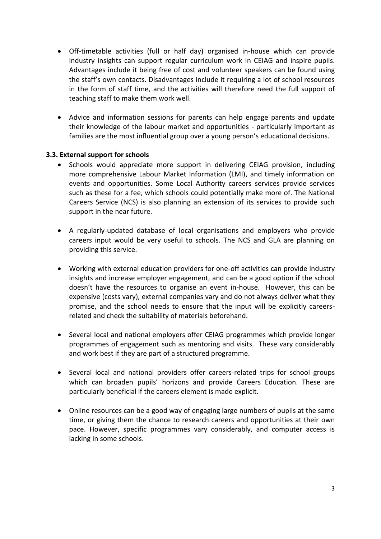- Off-timetable activities (full or half day) organised in-house which can provide industry insights can support regular curriculum work in CEIAG and inspire pupils. Advantages include it being free of cost and volunteer speakers can be found using the staff's own contacts. Disadvantages include it requiring a lot of school resources in the form of staff time, and the activities will therefore need the full support of teaching staff to make them work well.
- Advice and information sessions for parents can help engage parents and update their knowledge of the labour market and opportunities - particularly important as families are the most influential group over a young person's educational decisions.

#### **3.3. External support for schools**

- Schools would appreciate more support in delivering CEIAG provision, including more comprehensive Labour Market Information (LMI), and timely information on events and opportunities. Some Local Authority careers services provide services such as these for a fee, which schools could potentially make more of. The National Careers Service (NCS) is also planning an extension of its services to provide such support in the near future.
- A regularly-updated database of local organisations and employers who provide careers input would be very useful to schools. The NCS and GLA are planning on providing this service.
- Working with external education providers for one-off activities can provide industry insights and increase employer engagement, and can be a good option if the school doesn't have the resources to organise an event in-house. However, this can be expensive (costs vary), external companies vary and do not always deliver what they promise, and the school needs to ensure that the input will be explicitly careersrelated and check the suitability of materials beforehand.
- Several local and national employers offer CEIAG programmes which provide longer programmes of engagement such as mentoring and visits. These vary considerably and work best if they are part of a structured programme.
- Several local and national providers offer careers-related trips for school groups which can broaden pupils' horizons and provide Careers Education. These are particularly beneficial if the careers element is made explicit.
- Online resources can be a good way of engaging large numbers of pupils at the same time, or giving them the chance to research careers and opportunities at their own pace. However, specific programmes vary considerably, and computer access is lacking in some schools.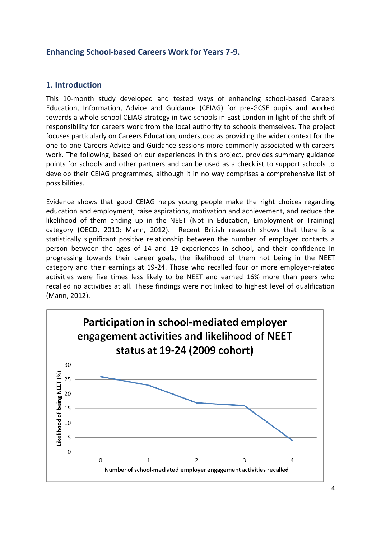## <span id="page-5-0"></span>**Enhancing School-based Careers Work for Years 7-9.**

## <span id="page-5-1"></span>**1. Introduction**

This 10-month study developed and tested ways of enhancing school-based Careers Education, Information, Advice and Guidance (CEIAG) for pre-GCSE pupils and worked towards a whole-school CEIAG strategy in two schools in East London in light of the shift of responsibility for careers work from the local authority to schools themselves. The project focuses particularly on Careers Education, understood as providing the wider context for the one-to-one Careers Advice and Guidance sessions more commonly associated with careers work. The following, based on our experiences in this project, provides summary guidance points for schools and other partners and can be used as a checklist to support schools to develop their CEIAG programmes, although it in no way comprises a comprehensive list of possibilities.

Evidence shows that good CEIAG helps young people make the right choices regarding education and employment, raise aspirations, motivation and achievement, and reduce the likelihood of them ending up in the NEET (Not in Education, Employment or Training) category (OECD, 2010; Mann, 2012). Recent British research shows that there is a statistically significant positive relationship between the number of employer contacts a person between the ages of 14 and 19 experiences in school, and their confidence in progressing towards their career goals, the likelihood of them not being in the NEET category and their earnings at 19-24. Those who recalled four or more employer-related activities were five times less likely to be NEET and earned 16% more than peers who recalled no activities at all. These findings were not linked to highest level of qualification (Mann, 2012).

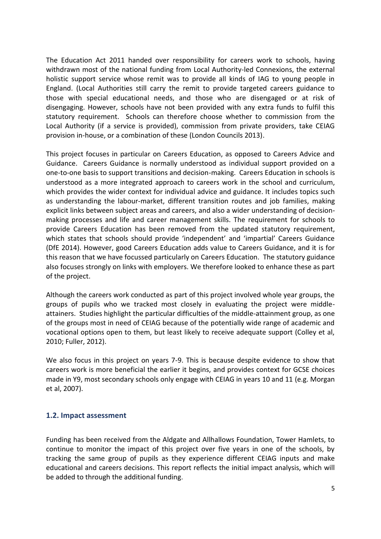The Education Act 2011 handed over responsibility for careers work to schools, having withdrawn most of the national funding from Local Authority-led Connexions, the external holistic support service whose remit was to provide all kinds of IAG to young people in England. (Local Authorities still carry the remit to provide targeted careers guidance to those with special educational needs, and those who are disengaged or at risk of disengaging. However, schools have not been provided with any extra funds to fulfil this statutory requirement. Schools can therefore choose whether to commission from the Local Authority (if a service is provided), commission from private providers, take CEIAG provision in-house, or a combination of these (London Councils 2013).

This project focuses in particular on Careers Education, as opposed to Careers Advice and Guidance. Careers Guidance is normally understood as individual support provided on a one-to-one basis to support transitions and decision-making. Careers Education in schools is understood as a more integrated approach to careers work in the school and curriculum, which provides the wider context for individual advice and guidance. It includes topics such as understanding the labour-market, different transition routes and job families, making explicit links between subject areas and careers, and also a wider understanding of decisionmaking processes and life and career management skills. The requirement for schools to provide Careers Education has been removed from the updated statutory requirement, which states that schools should provide 'independent' and 'impartial' Careers Guidance (DfE 2014). However, good Careers Education adds value to Careers Guidance, and it is for this reason that we have focussed particularly on Careers Education. The statutory guidance also focuses strongly on links with employers. We therefore looked to enhance these as part of the project.

Although the careers work conducted as part of this project involved whole year groups, the groups of pupils who we tracked most closely in evaluating the project were middleattainers. Studies highlight the particular difficulties of the middle-attainment group, as one of the groups most in need of CEIAG because of the potentially wide range of academic and vocational options open to them, but least likely to receive adequate support (Colley et al, 2010; Fuller, 2012).

We also focus in this project on years 7-9. This is because despite evidence to show that careers work is more beneficial the earlier it begins, and provides context for GCSE choices made in Y9, most secondary schools only engage with CEIAG in years 10 and 11 (e.g. Morgan et al, 2007).

#### <span id="page-6-0"></span>**1.2. Impact assessment**

Funding has been received from the Aldgate and Allhallows Foundation, Tower Hamlets, to continue to monitor the impact of this project over five years in one of the schools, by tracking the same group of pupils as they experience different CEIAG inputs and make educational and careers decisions. This report reflects the initial impact analysis, which will be added to through the additional funding.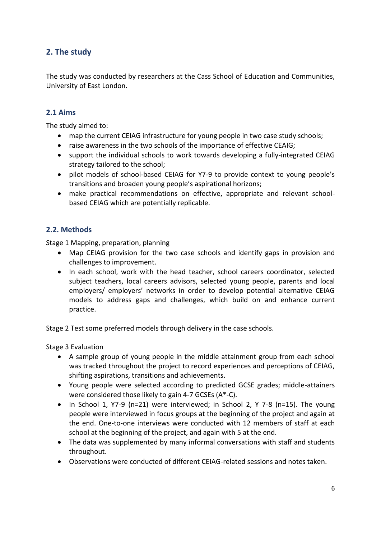## <span id="page-7-0"></span>**2. The study**

The study was conducted by researchers at the Cass School of Education and Communities, University of East London.

## <span id="page-7-1"></span>**2.1 Aims**

The study aimed to:

- map the current CEIAG infrastructure for young people in two case study schools;
- raise awareness in the two schools of the importance of effective CEAIG;
- support the individual schools to work towards developing a fully-integrated CEIAG strategy tailored to the school;
- pilot models of school-based CEIAG for Y7-9 to provide context to young people's transitions and broaden young people's aspirational horizons;
- make practical recommendations on effective, appropriate and relevant schoolbased CEIAG which are potentially replicable.

## <span id="page-7-2"></span>**2.2. Methods**

Stage 1 Mapping, preparation, planning

- Map CEIAG provision for the two case schools and identify gaps in provision and challenges to improvement.
- In each school, work with the head teacher, school careers coordinator, selected subject teachers, local careers advisors, selected young people, parents and local employers/ employers' networks in order to develop potential alternative CEIAG models to address gaps and challenges, which build on and enhance current practice.

Stage 2 Test some preferred models through delivery in the case schools.

Stage 3 Evaluation

- A sample group of young people in the middle attainment group from each school was tracked throughout the project to record experiences and perceptions of CEIAG, shifting aspirations, transitions and achievements.
- Young people were selected according to predicted GCSE grades; middle-attainers were considered those likely to gain 4-7 GCSEs (A\*-C).
- In School 1, Y7-9 (n=21) were interviewed; in School 2, Y 7-8 (n=15). The young people were interviewed in focus groups at the beginning of the project and again at the end. One-to-one interviews were conducted with 12 members of staff at each school at the beginning of the project, and again with 5 at the end.
- The data was supplemented by many informal conversations with staff and students throughout.
- Observations were conducted of different CEIAG-related sessions and notes taken.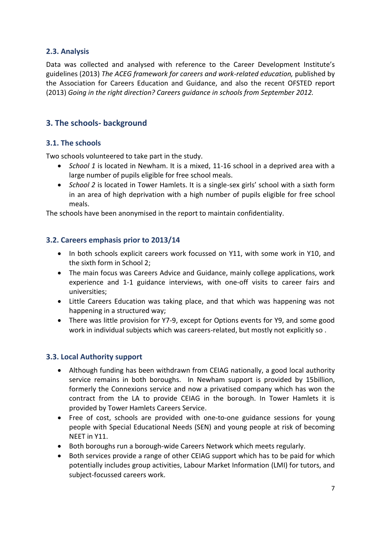## <span id="page-8-0"></span>**2.3. Analysis**

Data was collected and analysed with reference to the Career Development Institute's guidelines (2013) *The ACEG framework for careers and work-related education,* published by the Association for Careers Education and Guidance, and also the recent OFSTED report (2013) *Going in the right direction? Careers guidance in schools from September 2012.* 

## <span id="page-8-1"></span>**3. The schools- background**

## <span id="page-8-2"></span>**3.1. The schools**

Two schools volunteered to take part in the study.

- *School 1* is located in Newham. It is a mixed, 11-16 school in a deprived area with a large number of pupils eligible for free school meals.
- *School 2* is located in Tower Hamlets. It is a single-sex girls' school with a sixth form in an area of high deprivation with a high number of pupils eligible for free school meals.

The schools have been anonymised in the report to maintain confidentiality.

## <span id="page-8-3"></span>**3.2. Careers emphasis prior to 2013/14**

- In both schools explicit careers work focussed on Y11, with some work in Y10, and the sixth form in School 2;
- The main focus was Careers Advice and Guidance, mainly college applications, work experience and 1-1 guidance interviews, with one-off visits to career fairs and universities;
- Little Careers Education was taking place, and that which was happening was not happening in a structured way;
- There was little provision for Y7-9, except for Options events for Y9, and some good work in individual subjects which was careers-related, but mostly not explicitly so .

#### <span id="page-8-4"></span>**3.3. Local Authority support**

- Although funding has been withdrawn from CEIAG nationally, a good local authority service remains in both boroughs. In Newham support is provided by 15billion, formerly the Connexions service and now a privatised company which has won the contract from the LA to provide CEIAG in the borough. In Tower Hamlets it is provided by Tower Hamlets Careers Service.
- Free of cost, schools are provided with one-to-one guidance sessions for young people with Special Educational Needs (SEN) and young people at risk of becoming NEET in Y11.
- Both boroughs run a borough-wide Careers Network which meets regularly.
- Both services provide a range of other CEIAG support which has to be paid for which potentially includes group activities, Labour Market Information (LMI) for tutors, and subject-focussed careers work.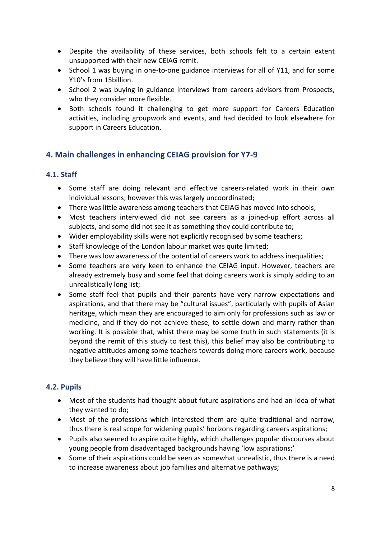- Despite the availability of these services, both schools felt to a certain extent unsupported with their new CEIAG remit.
- School 1 was buying in one-to-one guidance interviews for all of Y11, and for some Y10's from 15billion.
- School 2 was buying in guidance interviews from careers advisors from Prospects, who they consider more flexible.
- Both schools found it challenging to get more support for Careers Education activities, including groupwork and events, and had decided to look elsewhere for support in Careers Education.

## <span id="page-9-0"></span>**4. Main challenges in enhancing CEIAG provision for Y7-9**

#### <span id="page-9-1"></span>**4.1. Staff**

- Some staff are doing relevant and effective careers-related work in their own individual lessons; however this was largely uncoordinated;
- There was little awareness among teachers that CEIAG has moved into schools;
- Most teachers interviewed did not see careers as a joined-up effort across all subjects, and some did not see it as something they could contribute to;
- Wider employability skills were not explicitly recognised by some teachers;
- Staff knowledge of the London labour market was quite limited;
- There was low awareness of the potential of careers work to address inequalities;
- Some teachers are very keen to enhance the CEIAG input. However, teachers are already extremely busy and some feel that doing careers work is simply adding to an unrealistically long list;
- Some staff feel that pupils and their parents have very narrow expectations and aspirations, and that there may be "cultural issues", particularly with pupils of Asian heritage, which mean they are encouraged to aim only for professions such as law or medicine, and if they do not achieve these, to settle down and marry rather than working. It is possible that, whist there may be some truth in such statements (it is beyond the remit of this study to test this), this belief may also be contributing to negative attitudes among some teachers towards doing more careers work, because they believe they will have little influence.

## <span id="page-9-2"></span>**4.2. Pupils**

- Most of the students had thought about future aspirations and had an idea of what they wanted to do;
- Most of the professions which interested them are quite traditional and narrow, thus there is real scope for widening pupils' horizons regarding careers aspirations;
- Pupils also seemed to aspire quite highly, which challenges popular discourses about young people from disadvantaged backgrounds having 'low aspirations;'
- Some of their aspirations could be seen as somewhat unrealistic, thus there is a need to increase awareness about job families and alternative pathways;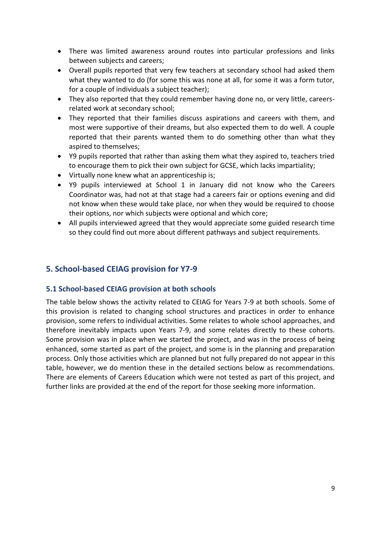- There was limited awareness around routes into particular professions and links between subjects and careers;
- Overall pupils reported that very few teachers at secondary school had asked them what they wanted to do (for some this was none at all, for some it was a form tutor, for a couple of individuals a subject teacher);
- They also reported that they could remember having done no, or very little, careersrelated work at secondary school;
- They reported that their families discuss aspirations and careers with them, and most were supportive of their dreams, but also expected them to do well. A couple reported that their parents wanted them to do something other than what they aspired to themselves;
- Y9 pupils reported that rather than asking them what they aspired to, teachers tried to encourage them to pick their own subject for GCSE, which lacks impartiality;
- Virtually none knew what an apprenticeship is;
- Y9 pupils interviewed at School 1 in January did not know who the Careers Coordinator was, had not at that stage had a careers fair or options evening and did not know when these would take place, nor when they would be required to choose their options, nor which subjects were optional and which core;
- All pupils interviewed agreed that they would appreciate some guided research time so they could find out more about different pathways and subject requirements.

## <span id="page-10-0"></span>**5. School-based CEIAG provision for Y7-9**

#### <span id="page-10-1"></span>**5.1 School-based CEIAG provision at both schools**

The table below shows the activity related to CEIAG for Years 7-9 at both schools. Some of this provision is related to changing school structures and practices in order to enhance provision, some refers to individual activities. Some relates to whole school approaches, and therefore inevitably impacts upon Years 7-9, and some relates directly to these cohorts. Some provision was in place when we started the project, and was in the process of being enhanced, some started as part of the project, and some is in the planning and preparation process. Only those activities which are planned but not fully prepared do not appear in this table, however, we do mention these in the detailed sections below as recommendations. There are elements of Careers Education which were not tested as part of this project, and further links are provided at the end of the report for those seeking more information.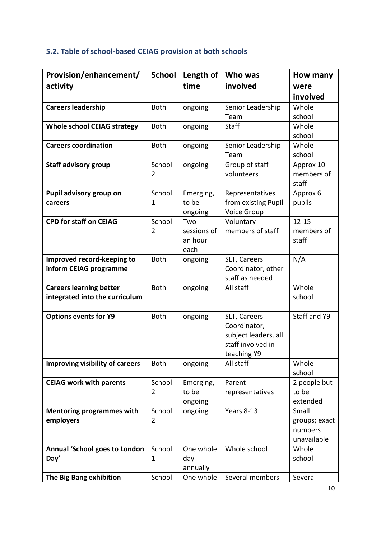## <span id="page-11-0"></span>**5.2. Table of school-based CEIAG provision at both schools**

| Provision/enhancement/                       | <b>School</b>  | Length of       | Who was              | How many            |
|----------------------------------------------|----------------|-----------------|----------------------|---------------------|
| activity                                     |                | time            | involved             | were                |
|                                              |                |                 |                      | involved            |
| <b>Careers leadership</b>                    | <b>Both</b>    | ongoing         | Senior Leadership    | Whole               |
|                                              |                |                 | Team                 | school              |
| <b>Whole school CEIAG strategy</b>           | <b>Both</b>    | ongoing         | <b>Staff</b>         | Whole               |
|                                              |                |                 |                      | school              |
| <b>Careers coordination</b>                  | <b>Both</b>    | ongoing         | Senior Leadership    | Whole               |
|                                              |                |                 | Team                 | school              |
| <b>Staff advisory group</b>                  | School         | ongoing         | Group of staff       | Approx 10           |
|                                              | $\overline{2}$ |                 | volunteers           | members of<br>staff |
| Pupil advisory group on                      | School         | Emerging,       | Representatives      | Approx 6            |
| careers                                      | 1              | to be           | from existing Pupil  | pupils              |
|                                              |                | ongoing         | <b>Voice Group</b>   |                     |
| <b>CPD for staff on CEIAG</b>                | School         | Two             | Voluntary            | $12 - 15$           |
|                                              | $\overline{2}$ | sessions of     | members of staff     | members of          |
|                                              |                | an hour         |                      | staff               |
|                                              |                | each            |                      |                     |
| Improved record-keeping to                   | <b>Both</b>    | ongoing         | SLT, Careers         | N/A                 |
| inform CEIAG programme                       |                |                 | Coordinator, other   |                     |
|                                              |                |                 | staff as needed      |                     |
| <b>Careers learning better</b>               | Both           | ongoing         | All staff            | Whole               |
| integrated into the curriculum               |                |                 |                      | school              |
| <b>Options events for Y9</b>                 | <b>Both</b>    | ongoing         | SLT, Careers         | Staff and Y9        |
|                                              |                |                 | Coordinator,         |                     |
|                                              |                |                 | subject leaders, all |                     |
|                                              |                |                 | staff involved in    |                     |
|                                              |                |                 | teaching Y9          |                     |
| Improving visibility of careers              | <b>Both</b>    | ongoing         | All staff            | Whole               |
|                                              |                |                 |                      | school              |
| <b>CEIAG work with parents</b>               | School         | Emerging,       | Parent               | 2 people but        |
|                                              | $\overline{2}$ | to be           | representatives      | to be               |
|                                              |                | ongoing         |                      | extended            |
| <b>Mentoring programmes with</b>             | School         | ongoing         | Years 8-13           | Small               |
| employers                                    | $\overline{2}$ |                 |                      | groups; exact       |
|                                              |                |                 |                      | numbers             |
|                                              | School         | One whole       | Whole school         | unavailable         |
| <b>Annual 'School goes to London</b><br>Day' | 1              |                 |                      | Whole<br>school     |
|                                              |                | day<br>annually |                      |                     |
| The Big Bang exhibition                      | School         | One whole       | Several members      | Several             |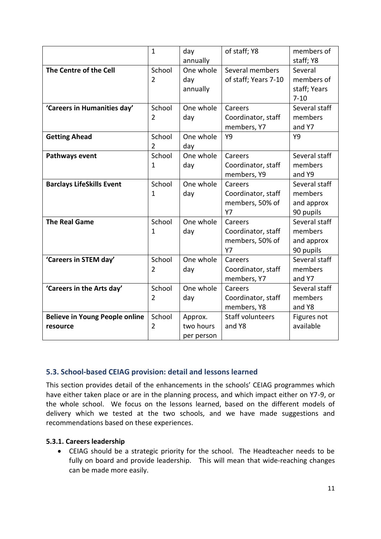|                                       | $\mathbf{1}$   | day        | of staff; Y8            | members of    |
|---------------------------------------|----------------|------------|-------------------------|---------------|
|                                       |                | annually   |                         | staff; Y8     |
| The Centre of the Cell                | School         | One whole  | Several members         | Several       |
|                                       | $\overline{2}$ | day        | of staff; Years 7-10    | members of    |
|                                       |                | annually   |                         | staff; Years  |
|                                       |                |            |                         | $7 - 10$      |
| 'Careers in Humanities day'           | School         | One whole  | Careers                 | Several staff |
|                                       | 2              | day        | Coordinator, staff      | members       |
|                                       |                |            | members, Y7             | and Y7        |
| <b>Getting Ahead</b>                  | School         | One whole  | Y9                      | Y9            |
|                                       | $\overline{2}$ | day        |                         |               |
| Pathways event                        | School         | One whole  | Careers                 | Several staff |
|                                       | $\mathbf{1}$   | day        | Coordinator, staff      | members       |
|                                       |                |            | members, Y9             | and Y9        |
| <b>Barclays LifeSkills Event</b>      | School         | One whole  | Careers                 | Several staff |
|                                       | $\mathbf{1}$   | day        | Coordinator, staff      | members       |
|                                       |                |            | members, 50% of         | and approx    |
|                                       |                |            | <b>Y7</b>               | 90 pupils     |
| <b>The Real Game</b>                  | School         | One whole  | Careers                 | Several staff |
|                                       | $\mathbf{1}$   | day        | Coordinator, staff      | members       |
|                                       |                |            | members, 50% of         | and approx    |
|                                       |                |            | <b>Y7</b>               | 90 pupils     |
| 'Careers in STEM day'                 | School         | One whole  | Careers                 | Several staff |
|                                       | $\overline{2}$ | day        | Coordinator, staff      | members       |
|                                       |                |            | members, Y7             | and Y7        |
| 'Careers in the Arts day'             | School         | One whole  | Careers                 | Several staff |
|                                       | $\overline{2}$ | day        | Coordinator, staff      | members       |
|                                       |                |            | members, Y8             | and Y8        |
| <b>Believe in Young People online</b> | School         | Approx.    | <b>Staff volunteers</b> | Figures not   |
| resource                              | $\overline{2}$ | two hours  | and Y8                  | available     |
|                                       |                | per person |                         |               |

## <span id="page-12-0"></span>**5.3. School-based CEIAG provision: detail and lessons learned**

This section provides detail of the enhancements in the schools' CEIAG programmes which have either taken place or are in the planning process, and which impact either on Y7-9, or the whole school. We focus on the lessons learned, based on the different models of delivery which we tested at the two schools, and we have made suggestions and recommendations based on these experiences.

### **5.3.1. Careers leadership**

 CEIAG should be a strategic priority for the school. The Headteacher needs to be fully on board and provide leadership. This will mean that wide-reaching changes can be made more easily.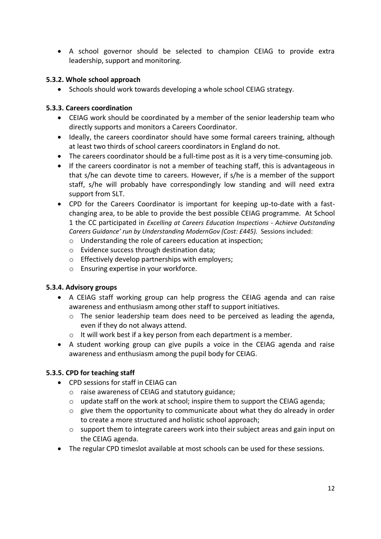A school governor should be selected to champion CEIAG to provide extra leadership, support and monitoring.

#### **5.3.2. Whole school approach**

• Schools should work towards developing a whole school CEIAG strategy.

#### **5.3.3. Careers coordination**

- CEIAG work should be coordinated by a member of the senior leadership team who directly supports and monitors a Careers Coordinator.
- Ideally, the careers coordinator should have some formal careers training, although at least two thirds of school careers coordinators in England do not.
- The careers coordinator should be a full-time post as it is a very time-consuming job.
- If the careers coordinator is not a member of teaching staff, this is advantageous in that s/he can devote time to careers. However, if s/he is a member of the support staff, s/he will probably have correspondingly low standing and will need extra support from SLT.
- CPD for the Careers Coordinator is important for keeping up-to-date with a fastchanging area, to be able to provide the best possible CEIAG programme. At School 1 the CC participated in *Excelling at Careers Education Inspections - Achieve Outstanding Careers Guidance' run by Understanding ModernGov (Cost: £445).* Sessions included:
	- o Understanding the role of careers education at inspection;
	- o Evidence success through destination data;
	- o Effectively develop partnerships with employers;
	- o Ensuring expertise in your workforce.

#### **5.3.4. Advisory groups**

- A CEIAG staff working group can help progress the CEIAG agenda and can raise awareness and enthusiasm among other staff to support initiatives.
	- o The senior leadership team does need to be perceived as leading the agenda, even if they do not always attend.
	- o It will work best if a key person from each department is a member.
- A student working group can give pupils a voice in the CEIAG agenda and raise awareness and enthusiasm among the pupil body for CEIAG.

#### **5.3.5. CPD for teaching staff**

- CPD sessions for staff in CEIAG can
	- o raise awareness of CEIAG and statutory guidance;
	- o update staff on the work at school; inspire them to support the CEIAG agenda;
	- $\circ$  give them the opportunity to communicate about what they do already in order to create a more structured and holistic school approach;
	- $\circ$  support them to integrate careers work into their subject areas and gain input on the CEIAG agenda.
- The regular CPD timeslot available at most schools can be used for these sessions.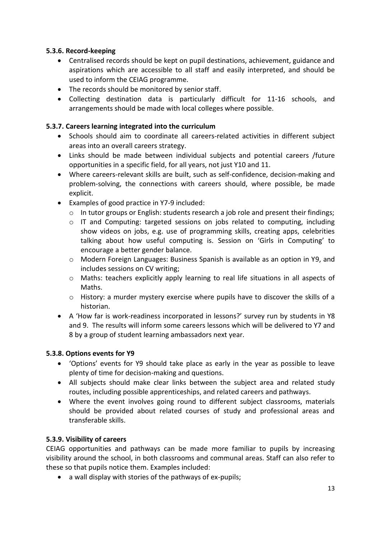### **5.3.6. Record-keeping**

- Centralised records should be kept on pupil destinations, achievement, guidance and aspirations which are accessible to all staff and easily interpreted, and should be used to inform the CEIAG programme.
- The records should be monitored by senior staff.
- Collecting destination data is particularly difficult for 11-16 schools, and arrangements should be made with local colleges where possible.

## **5.3.7. Careers learning integrated into the curriculum**

- Schools should aim to coordinate all careers-related activities in different subject areas into an overall careers strategy.
- Links should be made between individual subjects and potential careers /future opportunities in a specific field, for all years, not just Y10 and 11.
- Where careers-relevant skills are built, such as self-confidence, decision-making and problem-solving, the connections with careers should, where possible, be made explicit.
- Examples of good practice in Y7-9 included:
	- o In tutor groups or English: students research a job role and present their findings;
	- o IT and Computing: targeted sessions on jobs related to computing, including show videos on jobs, e.g. use of programming skills, creating apps, celebrities talking about how useful computing is. Session on 'Girls in Computing' to encourage a better gender balance.
	- o Modern Foreign Languages: Business Spanish is available as an option in Y9, and includes sessions on CV writing;
	- o Maths: teachers explicitly apply learning to real life situations in all aspects of Maths.
	- o History: a murder mystery exercise where pupils have to discover the skills of a historian.
- A 'How far is work-readiness incorporated in lessons?' survey run by students in Y8 and 9. The results will inform some careers lessons which will be delivered to Y7 and 8 by a group of student learning ambassadors next year.

#### **5.3.8. Options events for Y9**

- 'Options' events for Y9 should take place as early in the year as possible to leave plenty of time for decision-making and questions.
- All subjects should make clear links between the subject area and related study routes, including possible apprenticeships, and related careers and pathways.
- Where the event involves going round to different subject classrooms, materials should be provided about related courses of study and professional areas and transferable skills.

#### **5.3.9. Visibility of careers**

CEIAG opportunities and pathways can be made more familiar to pupils by increasing visibility around the school, in both classrooms and communal areas. Staff can also refer to these so that pupils notice them. Examples included:

• a wall display with stories of the pathways of ex-pupils;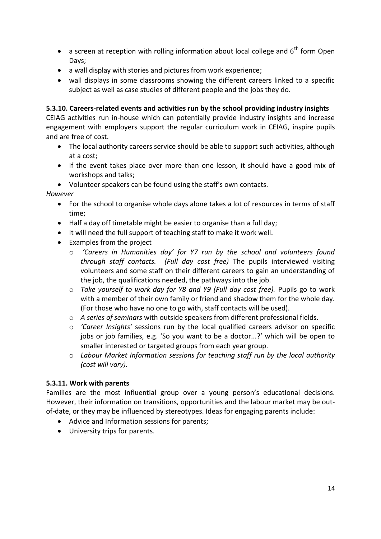- a screen at reception with rolling information about local college and  $6<sup>th</sup>$  form Open Days;
- a wall display with stories and pictures from work experience;
- wall displays in some classrooms showing the different careers linked to a specific subject as well as case studies of different people and the jobs they do.

## **5.3.10. Careers-related events and activities run by the school providing industry insights**

CEIAG activities run in-house which can potentially provide industry insights and increase engagement with employers support the regular curriculum work in CEIAG, inspire pupils and are free of cost.

- The local authority careers service should be able to support such activities, although at a cost;
- If the event takes place over more than one lesson, it should have a good mix of workshops and talks;
- Volunteer speakers can be found using the staff's own contacts.

*However*

- For the school to organise whole days alone takes a lot of resources in terms of staff time;
- Half a day off timetable might be easier to organise than a full day;
- It will need the full support of teaching staff to make it work well.
- Examples from the project
	- o *'Careers in Humanities day' for Y7 run by the school and volunteers found through staff contacts. (Full day cost free)* The pupils interviewed visiting volunteers and some staff on their different careers to gain an understanding of the job, the qualifications needed, the pathways into the job.
	- o *Take yourself to work day for Y8 and Y9 (Full day cost free).* Pupils go to work with a member of their own family or friend and shadow them for the whole day. (For those who have no one to go with, staff contacts will be used).
	- o *A series of seminars* with outside speakers from different professional fields.
	- o *'Career Insights'* sessions run by the local qualified careers advisor on specific jobs or job families, e.g. 'So you want to be a doctor...?' which will be open to smaller interested or targeted groups from each year group.
	- o *Labour Market Information sessions for teaching staff run by the local authority (cost will vary).*

#### **5.3.11. Work with parents**

Families are the most influential group over a young person's educational decisions. However, their information on transitions, opportunities and the labour market may be outof-date, or they may be influenced by stereotypes. Ideas for engaging parents include:

- Advice and Information sessions for parents;
- University trips for parents.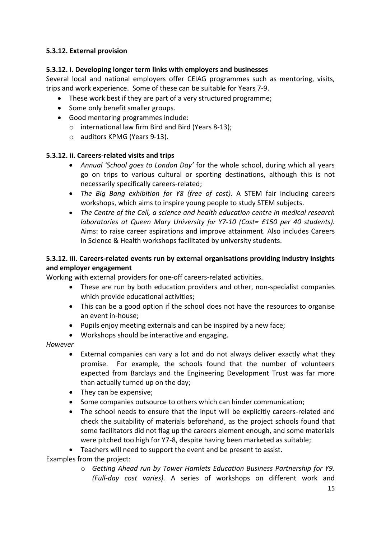## **5.3.12. External provision**

## **5.3.12. i. Developing longer term links with employers and businesses**

Several local and national employers offer CEIAG programmes such as mentoring, visits, trips and work experience. Some of these can be suitable for Years 7-9.

- These work best if they are part of a very structured programme;
- Some only benefit smaller groups.
- Good mentoring programmes include:
	- o international law firm Bird and Bird (Years 8-13);
	- o auditors KPMG (Years 9-13).

#### **5.3.12. ii. Careers-related visits and trips**

- *Annual 'School goes to London Day'* for the whole school, during which all years go on trips to various cultural or sporting destinations, although this is not necessarily specifically careers-related;
- *The Big Bang exhibition for Y8 (free of cost).* A STEM fair including careers workshops, which aims to inspire young people to study STEM subjects.
- *The Centre of the Cell, a science and health education centre in medical research laboratories at Queen Mary University for Y7-10 (Cost= £150 per 40 students).* Aims: to raise career aspirations and improve attainment. Also includes Careers in Science & Health workshops facilitated by university students.

## **5.3.12. iii. Careers-related events run by external organisations providing industry insights and employer engagement**

Working with external providers for one-off careers-related activities.

- These are run by both education providers and other, non-specialist companies which provide educational activities;
- This can be a good option if the school does not have the resources to organise an event in-house;
- Pupils enjoy meeting externals and can be inspired by a new face;
- Workshops should be interactive and engaging.

#### *However*

- External companies can vary a lot and do not always deliver exactly what they promise. For example, the schools found that the number of volunteers expected from Barclays and the Engineering Development Trust was far more than actually turned up on the day;
- They can be expensive;
- Some companies outsource to others which can hinder communication;
- The school needs to ensure that the input will be explicitly careers-related and check the suitability of materials beforehand, as the project schools found that some facilitators did not flag up the careers element enough, and some materials were pitched too high for Y7-8, despite having been marketed as suitable;
- Teachers will need to support the event and be present to assist.

Examples from the project:

o *Getting Ahead run by Tower Hamlets Education Business Partnership for Y9. (Full-day cost varies).* A series of workshops on different work and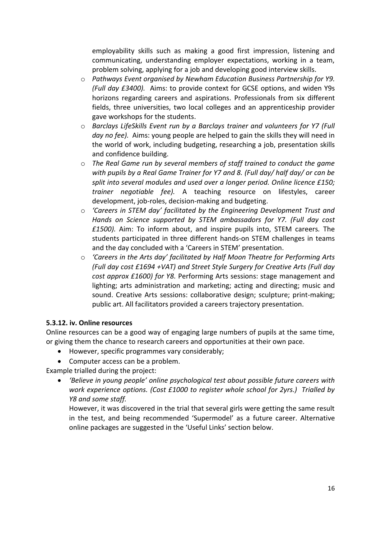employability skills such as making a good first impression, listening and communicating, understanding employer expectations, working in a team, problem solving, applying for a job and developing good interview skills.

- o *Pathways Event organised by Newham Education Business Partnership for Y9. (Full day £3400).* Aims: to provide context for GCSE options, and widen Y9s horizons regarding careers and aspirations. Professionals from six different fields, three universities, two local colleges and an apprenticeship provider gave workshops for the students.
- o *Barclays LifeSkills Event run by a Barclays trainer and volunteers for Y7 (Full day no fee).* Aims: young people are helped to gain the skills they will need in the world of work, including budgeting, researching a job, presentation skills and confidence building.
- o *The Real Game run by several members of staff trained to conduct the game with pupils by a Real Game Trainer for Y7 and 8. (Full day/ half day/ or can be split into several modules and used over a longer period. Online licence £150; trainer negotiable fee).* A teaching resource on lifestyles, career development, job-roles, decision-making and budgeting.
- o *'Careers in STEM day' facilitated by the Engineering Development Trust and Hands on Science supported by STEM ambassadors for Y7. (Full day cost £1500).* Aim: To inform about, and inspire pupils into, STEM careers*.* The students participated in three different hands-on STEM challenges in teams and the day concluded with a 'Careers in STEM' presentation.
- o *'Careers in the Arts day' facilitated by Half Moon Theatre for Performing Arts (Full day cost £1694 +VAT) and Street Style Surgery for Creative Arts (Full day cost approx £1600) for Y8.* Performing Arts sessions: stage management and lighting; arts administration and marketing; acting and directing; music and sound. Creative Arts sessions: collaborative design; sculpture; print-making; public art. All facilitators provided a careers trajectory presentation.

#### **5.3.12. iv. Online resources**

Online resources can be a good way of engaging large numbers of pupils at the same time, or giving them the chance to research careers and opportunities at their own pace.

- However, specific programmes vary considerably;
- Computer access can be a problem.

Example trialled during the project:

 *'Believe in young people' online psychological test about possible future careers with work experience options. (Cost £1000 to register whole school for 2yrs.) Trialled by Y8 and some staff.* 

However, it was discovered in the trial that several girls were getting the same result in the test, and being recommended 'Supermodel' as a future career. Alternative online packages are suggested in the 'Useful Links' section below.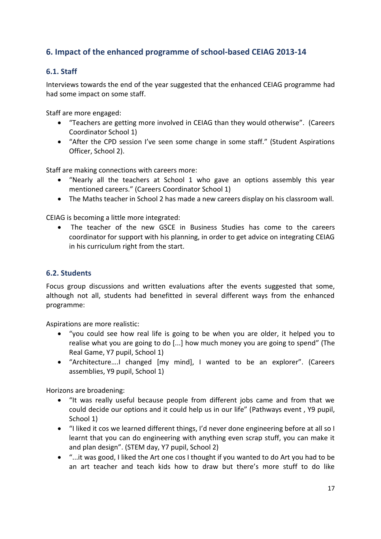## <span id="page-18-0"></span>**6. Impact of the enhanced programme of school-based CEIAG 2013-14**

## <span id="page-18-1"></span>**6.1. Staff**

Interviews towards the end of the year suggested that the enhanced CEIAG programme had had some impact on some staff.

Staff are more engaged:

- "Teachers are getting more involved in CEIAG than they would otherwise". (Careers Coordinator School 1)
- "After the CPD session I've seen some change in some staff." (Student Aspirations Officer, School 2).

Staff are making connections with careers more:

- "Nearly all the teachers at School 1 who gave an options assembly this year mentioned careers." (Careers Coordinator School 1)
- The Maths teacher in School 2 has made a new careers display on his classroom wall.

CEIAG is becoming a little more integrated:

 The teacher of the new GSCE in Business Studies has come to the careers coordinator for support with his planning, in order to get advice on integrating CEIAG in his curriculum right from the start.

#### <span id="page-18-2"></span>**6.2. Students**

Focus group discussions and written evaluations after the events suggested that some, although not all, students had benefitted in several different ways from the enhanced programme:

Aspirations are more realistic:

- "you could see how real life is going to be when you are older, it helped you to realise what you are going to do [...] how much money you are going to spend" (The Real Game, Y7 pupil, School 1)
- "Architecture….I changed [my mind], I wanted to be an explorer". (Careers assemblies, Y9 pupil, School 1)

Horizons are broadening:

- "It was really useful because people from different jobs came and from that we could decide our options and it could help us in our life" (Pathways event , Y9 pupil, School 1)
- "I liked it cos we learned different things, I'd never done engineering before at all so I learnt that you can do engineering with anything even scrap stuff, you can make it and plan design". (STEM day, Y7 pupil, School 2)
- "...it was good, I liked the Art one cos I thought if you wanted to do Art you had to be an art teacher and teach kids how to draw but there's more stuff to do like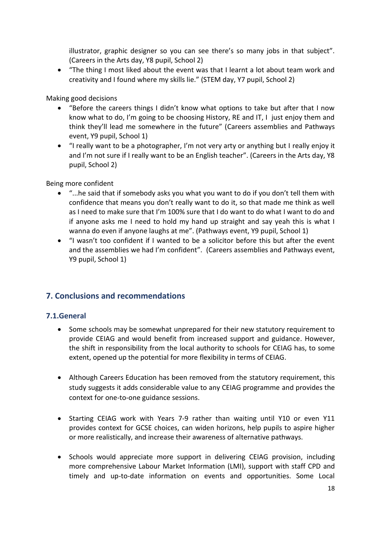illustrator, graphic designer so you can see there's so many jobs in that subject". (Careers in the Arts day, Y8 pupil, School 2)

 "The thing I most liked about the event was that I learnt a lot about team work and creativity and I found where my skills lie." (STEM day, Y7 pupil, School 2)

Making good decisions

- "Before the careers things I didn't know what options to take but after that I now know what to do, I'm going to be choosing History, RE and IT, I just enjoy them and think they'll lead me somewhere in the future" (Careers assemblies and Pathways event, Y9 pupil, School 1)
- "I really want to be a photographer, I'm not very arty or anything but I really enjoy it and I'm not sure if I really want to be an English teacher". (Careers in the Arts day, Y8 pupil, School 2)

Being more confident

- "...he said that if somebody asks you what you want to do if you don't tell them with confidence that means you don't really want to do it, so that made me think as well as I need to make sure that I'm 100% sure that I do want to do what I want to do and if anyone asks me I need to hold my hand up straight and say yeah this is what I wanna do even if anyone laughs at me". (Pathways event, Y9 pupil, School 1)
- "I wasn't too confident if I wanted to be a solicitor before this but after the event and the assemblies we had I'm confident". (Careers assemblies and Pathways event, Y9 pupil, School 1)

## <span id="page-19-0"></span>**7. Conclusions and recommendations**

#### <span id="page-19-1"></span>**7.1.General**

- Some schools may be somewhat unprepared for their new statutory requirement to provide CEIAG and would benefit from increased support and guidance. However, the shift in responsibility from the local authority to schools for CEIAG has, to some extent, opened up the potential for more flexibility in terms of CEIAG.
- Although Careers Education has been removed from the statutory requirement, this study suggests it adds considerable value to any CEIAG programme and provides the context for one-to-one guidance sessions.
- Starting CEIAG work with Years 7-9 rather than waiting until Y10 or even Y11 provides context for GCSE choices, can widen horizons, help pupils to aspire higher or more realistically, and increase their awareness of alternative pathways.
- Schools would appreciate more support in delivering CEIAG provision, including more comprehensive Labour Market Information (LMI), support with staff CPD and timely and up-to-date information on events and opportunities. Some Local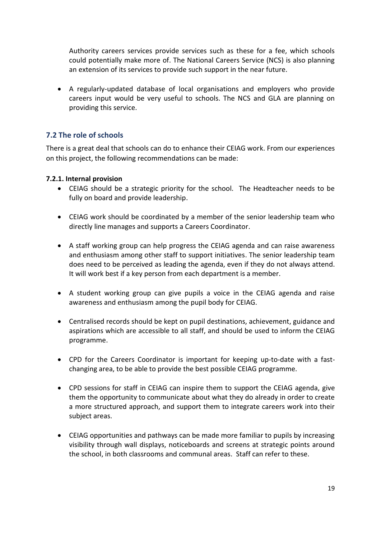Authority careers services provide services such as these for a fee, which schools could potentially make more of. The National Careers Service (NCS) is also planning an extension of its services to provide such support in the near future.

 A regularly-updated database of local organisations and employers who provide careers input would be very useful to schools. The NCS and GLA are planning on providing this service.

## <span id="page-20-0"></span>**7.2 The role of schools**

There is a great deal that schools can do to enhance their CEIAG work. From our experiences on this project, the following recommendations can be made:

#### **7.2.1. Internal provision**

- CEIAG should be a strategic priority for the school. The Headteacher needs to be fully on board and provide leadership.
- CEIAG work should be coordinated by a member of the senior leadership team who directly line manages and supports a Careers Coordinator.
- A staff working group can help progress the CEIAG agenda and can raise awareness and enthusiasm among other staff to support initiatives. The senior leadership team does need to be perceived as leading the agenda, even if they do not always attend. It will work best if a key person from each department is a member.
- A student working group can give pupils a voice in the CEIAG agenda and raise awareness and enthusiasm among the pupil body for CEIAG.
- Centralised records should be kept on pupil destinations, achievement, guidance and aspirations which are accessible to all staff, and should be used to inform the CEIAG programme.
- CPD for the Careers Coordinator is important for keeping up-to-date with a fastchanging area, to be able to provide the best possible CEIAG programme.
- CPD sessions for staff in CEIAG can inspire them to support the CEIAG agenda, give them the opportunity to communicate about what they do already in order to create a more structured approach, and support them to integrate careers work into their subject areas.
- CEIAG opportunities and pathways can be made more familiar to pupils by increasing visibility through wall displays, noticeboards and screens at strategic points around the school, in both classrooms and communal areas. Staff can refer to these.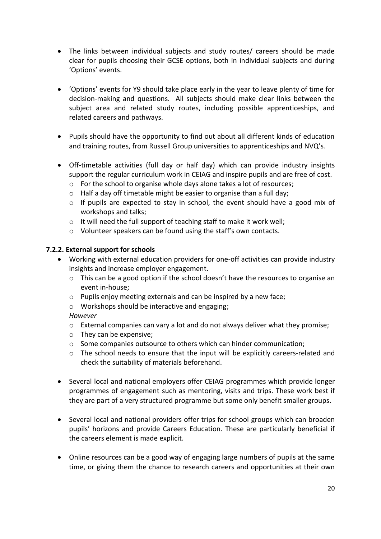- The links between individual subjects and study routes/ careers should be made clear for pupils choosing their GCSE options, both in individual subjects and during 'Options' events.
- 'Options' events for Y9 should take place early in the year to leave plenty of time for decision-making and questions. All subjects should make clear links between the subject area and related study routes, including possible apprenticeships, and related careers and pathways.
- Pupils should have the opportunity to find out about all different kinds of education and training routes, from Russell Group universities to apprenticeships and NVQ's.
- Off-timetable activities (full day or half day) which can provide industry insights support the regular curriculum work in CEIAG and inspire pupils and are free of cost.
	- o For the school to organise whole days alone takes a lot of resources;
	- o Half a day off timetable might be easier to organise than a full day;
	- $\circ$  If pupils are expected to stay in school, the event should have a good mix of workshops and talks;
	- o It will need the full support of teaching staff to make it work well;
	- o Volunteer speakers can be found using the staff's own contacts.

#### **7.2.2. External support for schools**

- Working with external education providers for one-off activities can provide industry insights and increase employer engagement.
	- $\circ$  This can be a good option if the school doesn't have the resources to organise an event in-house;
	- o Pupils enjoy meeting externals and can be inspired by a new face;
	- o Workshops should be interactive and engaging;

#### *However*

- o External companies can vary a lot and do not always deliver what they promise;
- o They can be expensive;
- o Some companies outsource to others which can hinder communication;
- o The school needs to ensure that the input will be explicitly careers-related and check the suitability of materials beforehand.
- Several local and national employers offer CEIAG programmes which provide longer programmes of engagement such as mentoring, visits and trips. These work best if they are part of a very structured programme but some only benefit smaller groups.
- Several local and national providers offer trips for school groups which can broaden pupils' horizons and provide Careers Education. These are particularly beneficial if the careers element is made explicit.
- Online resources can be a good way of engaging large numbers of pupils at the same time, or giving them the chance to research careers and opportunities at their own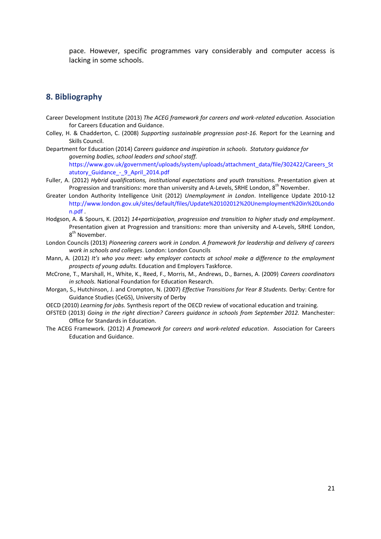pace. However, specific programmes vary considerably and computer access is lacking in some schools.

#### <span id="page-22-0"></span>**8. Bibliography**

- Career Development Institute (2013) *The ACEG framework for careers and work-related education.* Association for Careers Education and Guidance.
- Colley, H. & Chadderton, C. (2008) *Supporting sustainable progression post-16.* Report for the Learning and Skills Council.
- Department for Education (2014) *Careers guidance and inspiration in schools*. *Statutory guidance for governing bodies, school leaders and school staff.* [https://www.gov.uk/government/uploads/system/uploads/attachment\\_data/file/302422/Careers\\_St](https://www.gov.uk/government/uploads/system/uploads/attachment_data/file/302422/Careers_Statutory_Guidance_-_9_April_2014.pdf) atutory Guidance - 9 April 2014.pdf
- Fuller, A. (2012) *Hybrid qualifications, institutional expectations and youth transitions.* Presentation given at Progression and transitions: more than university and A-Levels, SRHE London,  $8^{th}$  November.
- Greater London Authority Intelligence Unit (2012) *Unemployment in London*. Intelligence Update 2010-12 [http://www.london.gov.uk/sites/default/files/Update%20102012%20Unemployment%20in%20Londo](http://www.london.gov.uk/sites/default/files/Update%20102012%20Unemployment%20in%20London.pdf) [n.pdf](http://www.london.gov.uk/sites/default/files/Update%20102012%20Unemployment%20in%20London.pdf) .
- Hodgson, A. & Spours, K. (2012) *14+participation, progression and transition to higher study and employment*. Presentation given at Progression and transitions: more than university and A-Levels, SRHE London, 8<sup>th</sup> November.
- London Councils (2013) *Pioneering careers work in London. A framework for leadership and delivery of careers work in schools and colleges*. London: London Councils
- Mann, A. (2012) *It's who you meet: why employer contacts at school make a difference to the employment prospects of young adults.* Education and Employers Taskforce.
- McCrone, T., Marshall, H., White, K., Reed, F., Morris, M., Andrews, D., Barnes, A. (2009) *Careers coordinators in schools.* National Foundation for Education Research.
- Morgan, S., Hutchinson, J. and Crompton, N. (2007) *Effective Transitions for Year 8 Students.* Derby: Centre for Guidance Studies (CeGS), University of Derby
- OECD (2010) *Learning for jobs.* Synthesis report of the OECD review of vocational education and training.
- OFSTED (2013) *Going in the right direction? Careers guidance in schools from September 2012.* Manchester: Office for Standards in Education.
- The ACEG Framework. (2012) *A framework for careers and work-related education*. Association for Careers Education and Guidance.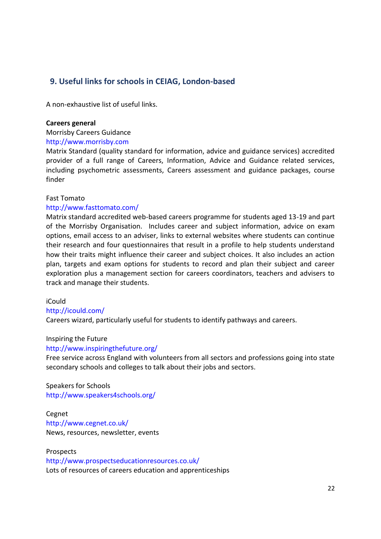## <span id="page-23-0"></span> **9. Useful links for schools in CEIAG, London-based**

A non-exhaustive list of useful links.

#### **Careers general**

Morrisby Careers Guidance

#### [http://www.morrisby.com](http://www.morrisby.com/)

Matrix Standard (quality standard for information, advice and guidance services) accredited provider of a full range of Careers, Information, Advice and Guidance related services, including psychometric assessments, Careers assessment and guidance packages, course finder

#### Fast Tomato

#### <http://www.fasttomato.com/>

Matrix standard accredited web-based careers programme for students aged 13-19 and part of the Morrisby Organisation. Includes career and subject information, advice on exam options, email access to an adviser, links to external websites where students can continue their research and four questionnaires that result in a profile to help students understand how their traits might influence their career and subject choices. It also includes an action plan, targets and exam options for students to record and plan their subject and career exploration plus a management section for careers coordinators, teachers and advisers to track and manage their students.

iCould

#### <http://icould.com/>

Careers wizard, particularly useful for students to identify pathways and careers.

Inspiring the Future

#### <http://www.inspiringthefuture.org/>

Free service across England with volunteers from all sectors and professions going into state secondary schools and colleges to talk about their jobs and sectors.

Speakers for Schools <http://www.speakers4schools.org/>

Cegnet <http://www.cegnet.co.uk/> News, resources, newsletter, events

Prospects <http://www.prospectseducationresources.co.uk/> Lots of resources of careers education and apprenticeships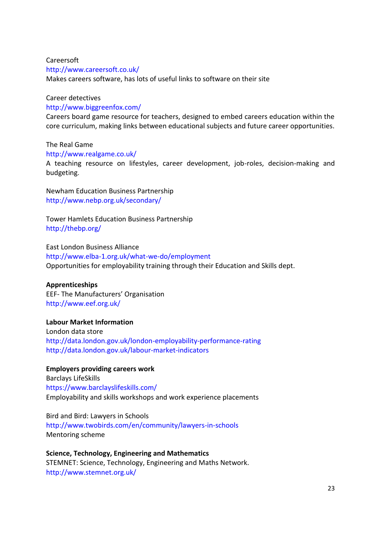## Careersoft <http://www.careersoft.co.uk/>

Makes careers software, has lots of useful links to software on their site

#### Career detectives

#### <http://www.biggreenfox.com/>

Careers board game resource for teachers, designed to embed careers education within the core curriculum, making links between educational subjects and future career opportunities.

#### The Real Game

#### <http://www.realgame.co.uk/>

A teaching resource on lifestyles, career development, job-roles, decision-making and budgeting.

Newham Education Business Partnership <http://www.nebp.org.uk/secondary/>

Tower Hamlets Education Business Partnership <http://thebp.org/>

East London Business Alliance <http://www.elba-1.org.uk/what-we-do/employment> Opportunities for employability training through their Education and Skills dept.

#### **Apprenticeships**

EEF- The Manufacturers' Organisation <http://www.eef.org.uk/>

#### **Labour Market Information**

London data store <http://data.london.gov.uk/london-employability-performance-rating> <http://data.london.gov.uk/labour-market-indicators>

#### **Employers providing careers work**

Barclays LifeSkills <https://www.barclayslifeskills.com/> Employability and skills workshops and work experience placements

Bird and Bird: Lawyers in Schools <http://www.twobirds.com/en/community/lawyers-in-schools> Mentoring scheme

**Science, Technology, Engineering and Mathematics** STEMNET: Science, Technology, Engineering and Maths Network. <http://www.stemnet.org.uk/>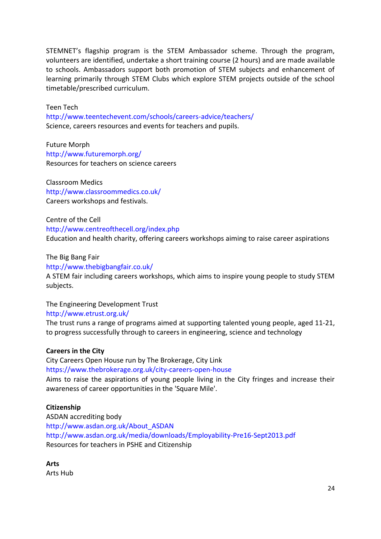STEMNET's flagship program is the STEM Ambassador scheme. Through the program, volunteers are identified, undertake a short training course (2 hours) and are made available to schools. Ambassadors support both promotion of STEM subjects and enhancement of learning primarily through STEM Clubs which explore STEM projects outside of the school timetable/prescribed curriculum.

Teen Tech <http://www.teentechevent.com/schools/careers-advice/teachers/> Science, careers resources and events for teachers and pupils.

Future Morph <http://www.futuremorph.org/> Resources for teachers on science careers

Classroom Medics <http://www.classroommedics.co.uk/> Careers workshops and festivals.

Centre of the Cell <http://www.centreofthecell.org/index.php> Education and health charity, offering careers workshops aiming to raise career aspirations

The Big Bang Fair <http://www.thebigbangfair.co.uk/> A STEM fair including careers workshops, which aims to inspire young people to study STEM subjects.

The Engineering Development Trust <http://www.etrust.org.uk/>

The trust runs a range of programs aimed at supporting talented young people, aged 11-21, to progress successfully through to careers in engineering, science and technology

#### **Careers in the City**

City Careers Open House run by The Brokerage, City Link <https://www.thebrokerage.org.uk/city-careers-open-house> Aims to raise the aspirations of young people living in the City fringes and increase their awareness of career opportunities in the 'Square Mile'.

#### **Citizenship**

ASDAN accrediting body [http://www.asdan.org.uk/About\\_ASDAN](http://www.asdan.org.uk/About_ASDAN) <http://www.asdan.org.uk/media/downloads/Employability-Pre16-Sept2013.pdf> Resources for teachers in PSHE and Citizenship

**Arts** Arts Hub